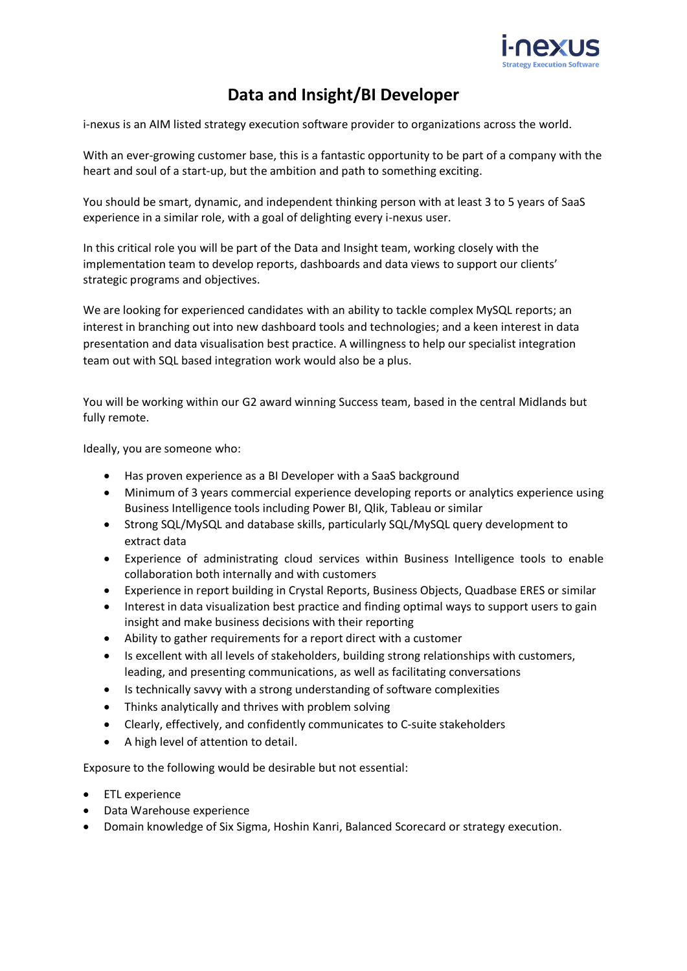

## **Data and Insight/BI Developer**

i-nexus is an AIM listed strategy execution software provider to organizations across the world.

With an ever-growing customer base, this is a fantastic opportunity to be part of a company with the heart and soul of a start-up, but the ambition and path to something exciting.

You should be smart, dynamic, and independent thinking person with at least 3 to 5 years of SaaS experience in a similar role, with a goal of delighting every i-nexus user.

In this critical role you will be part of the Data and Insight team, working closely with the implementation team to develop reports, dashboards and data views to support our clients' strategic programs and objectives.

We are looking for experienced candidates with an ability to tackle complex MySQL reports; an interest in branching out into new dashboard tools and technologies; and a keen interest in data presentation and data visualisation best practice. A willingness to help our specialist integration team out with SQL based integration work would also be a plus.

You will be working within our G2 award winning Success team, based in the central Midlands but fully remote.

Ideally, you are someone who:

- Has proven experience as a BI Developer with a SaaS background
- Minimum of 3 years commercial experience developing reports or analytics experience using Business Intelligence tools including Power BI, Qlik, Tableau or similar
- Strong SQL/MySQL and database skills, particularly SQL/MySQL query development to extract data
- Experience of administrating cloud services within Business Intelligence tools to enable collaboration both internally and with customers
- Experience in report building in Crystal Reports, Business Objects, Quadbase ERES or similar
- Interest in data visualization best practice and finding optimal ways to support users to gain insight and make business decisions with their reporting
- Ability to gather requirements for a report direct with a customer
- Is excellent with all levels of stakeholders, building strong relationships with customers, leading, and presenting communications, as well as facilitating conversations
- Is technically savvy with a strong understanding of software complexities
- Thinks analytically and thrives with problem solving
- Clearly, effectively, and confidently communicates to C-suite stakeholders
- A high level of attention to detail.

Exposure to the following would be desirable but not essential:

- ETL experience
- Data Warehouse experience
- Domain knowledge of Six Sigma, Hoshin Kanri, Balanced Scorecard or strategy execution.